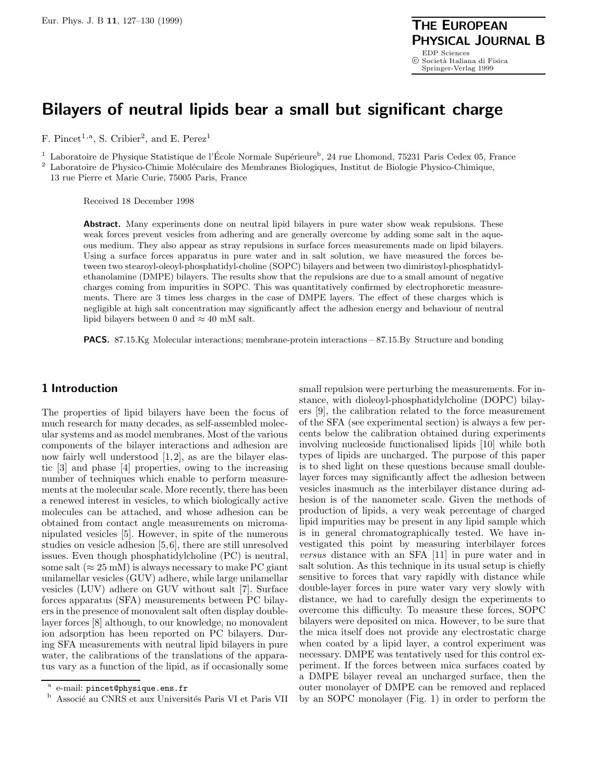# **Bilayers of neutral lipids bear a small but significant charge**

F. Pincet<sup>1,a</sup>, S. Cribier<sup>2</sup>, and E. Perez<sup>1</sup>

<sup>1</sup> Laboratoire de Physique Statistique de l'École Normale Supérieure<sup>b</sup>, 24 rue Lhomond, 75231 Paris Cedex 05, France

<sup>2</sup> Laboratoire de Physico-Chimie Moléculaire des Membranes Biologiques, Institut de Biologie Physico-Chimique, 13 rue Pierre et Marie Curie, 75005 Paris, France

Received 18 December 1998

Abstract. Many experiments done on neutral lipid bilayers in pure water show weak repulsions. These weak forces prevent vesicles from adhering and are generally overcome by adding some salt in the aqueous medium. They also appear as stray repulsions in surface forces measurements made on lipid bilayers. Using a surface forces apparatus in pure water and in salt solution, we have measured the forces between two stearoyl-oleoyl-phosphatidyl-choline (SOPC) bilayers and between two dimiristoyl-phosphatidylethanolamine (DMPE) bilayers. The results show that the repulsions are due to a small amount of negative charges coming from impurities in SOPC. This was quantitatively confirmed by electrophoretic measurements. There are 3 times less charges in the case of DMPE layers. The effect of these charges which is negligible at high salt concentration may significantly affect the adhesion energy and behaviour of neutral lipid bilayers between 0 and  $\approx 40$  mM salt.

**PACS.** 87.15.Kg Molecular interactions; membrane-protein interactions – 87.15.By Structure and bonding

# **1 Introduction**

The properties of lipid bilayers have been the focus of much research for many decades, as self-assembled molecular systems and as model membranes. Most of the various components of the bilayer interactions and adhesion are now fairly well understood [1,2], as are the bilayer elastic [3] and phase [4] properties, owing to the increasing number of techniques which enable to perform measurements at the molecular scale. More recently, there has been a renewed interest in vesicles, to which biologically active molecules can be attached, and whose adhesion can be obtained from contact angle measurements on micromanipulated vesicles [5]. However, in spite of the numerous studies on vesicle adhesion [5,6], there are still unresolved issues. Even though phosphatidylcholine (PC) is neutral, some salt ( $\approx 25$  mM) is always necessary to make PC giant unilamellar vesicles (GUV) adhere, while large unilamellar vesicles (LUV) adhere on GUV without salt [7]. Surface forces apparatus (SFA) measurements between PC bilayers in the presence of monovalent salt often display doublelayer forces [8] although, to our knowledge, no monovalent ion adsorption has been reported on PC bilayers. During SFA measurements with neutral lipid bilayers in pure water, the calibrations of the translations of the apparatus vary as a function of the lipid, as if occasionally some

small repulsion were perturbing the measurements. For instance, with dioleoyl-phosphatidylcholine (DOPC) bilayers [9], the calibration related to the force measurement of the SFA (see experimental section) is always a few percents below the calibration obtained during experiments involving nucleoside functionalised lipids [10] while both types of lipids are uncharged. The purpose of this paper is to shed light on these questions because small doublelayer forces may significantly affect the adhesion between vesicles inasmuch as the interbilayer distance during adhesion is of the nanometer scale. Given the methods of production of lipids, a very weak percentage of charged lipid impurities may be present in any lipid sample which is in general chromatographically tested. We have investigated this point by measuring interbilayer forces versus distance with an SFA [11] in pure water and in salt solution. As this technique in its usual setup is chiefly sensitive to forces that vary rapidly with distance while double-layer forces in pure water vary very slowly with distance, we had to carefully design the experiments to overcome this difficulty. To measure these forces, SOPC bilayers were deposited on mica. However, to be sure that the mica itself does not provide any electrostatic charge when coated by a lipid layer, a control experiment was necessary. DMPE was tentatively used for this control experiment. If the forces between mica surfaces coated by a DMPE bilayer reveal an uncharged surface, then the outer monolayer of DMPE can be removed and replaced by an SOPC monolayer (Fig. 1) in order to perform the

<sup>&</sup>lt;sup>a</sup> e-mail: pincet@physique.ens.fr

Associé au CNRS et aux Universités Paris VI et Paris VII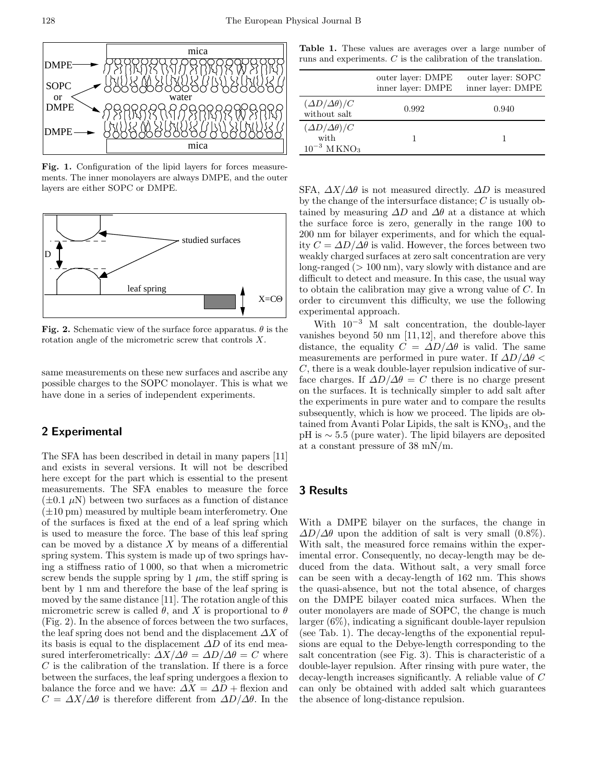

**Fig. 1.** Configuration of the lipid layers for forces measurements. The inner monolayers are always DMPE, and the outer layers are either SOPC or DMPE.



**Fig. 2.** Schematic view of the surface force apparatus.  $\theta$  is the rotation angle of the micrometric screw that controls X.

same measurements on these new surfaces and ascribe any possible charges to the SOPC monolayer. This is what we have done in a series of independent experiments.

## **2 Experimental**

The SFA has been described in detail in many papers [11] and exists in several versions. It will not be described here except for the part which is essential to the present measurements. The SFA enables to measure the force  $(\pm 0.1 \mu N)$  between two surfaces as a function of distance  $(\pm 10 \text{ pm})$  measured by multiple beam interferometry. One of the surfaces is fixed at the end of a leaf spring which is used to measure the force. The base of this leaf spring can be moved by a distance  $X$  by means of a differential spring system. This system is made up of two springs having a stiffness ratio of 1 000, so that when a micrometric screw bends the supple spring by 1  $\mu$ m, the stiff spring is bent by 1 nm and therefore the base of the leaf spring is moved by the same distance [11]. The rotation angle of this micrometric screw is called  $\theta$ , and X is proportional to  $\theta$ (Fig. 2). In the absence of forces between the two surfaces, the leaf spring does not bend and the displacement  $\Delta X$  of its basis is equal to the displacement  $\Delta D$  of its end measured interferometrically:  $\Delta X/\Delta \theta = \Delta D/\Delta \theta = C$  where  $C$  is the calibration of the translation. If there is a force between the surfaces, the leaf spring undergoes a flexion to balance the force and we have:  $\Delta X = \Delta D + \text{flexion}$  and  $C = \Delta X/\Delta\theta$  is therefore different from  $\Delta D/\Delta\theta$ . In the

**Table 1.** These values are averages over a large number of runs and experiments. C is the calibration of the translation.

|                                                                     | outer layer: DMPE<br>inner layer: DMPE | outer layer: SOPC<br>inner layer: DMPE |
|---------------------------------------------------------------------|----------------------------------------|----------------------------------------|
| $(\Delta D/\Delta \theta)/C$<br>without salt                        | 0.992                                  | 0.940                                  |
| $(\Delta D/\Delta \theta)/C$<br>with<br>$10^{-3}$ MKNO <sub>3</sub> |                                        |                                        |

SFA,  $\Delta X/\Delta\theta$  is not measured directly.  $\Delta D$  is measured by the change of the intersurface distance;  $C$  is usually obtained by measuring  $\Delta D$  and  $\Delta \theta$  at a distance at which the surface force is zero, generally in the range 100 to 200 nm for bilayer experiments, and for which the equality  $C = \Delta D / \Delta \theta$  is valid. However, the forces between two weakly charged surfaces at zero salt concentration are very long-ranged  $(>100 \text{ nm})$ , vary slowly with distance and are difficult to detect and measure. In this case, the usual way to obtain the calibration may give a wrong value of C. In order to circumvent this difficulty, we use the following experimental approach.

With  $10^{-3}$  M salt concentration, the double-layer vanishes beyond 50 nm [11,12], and therefore above this distance, the equality  $C = \Delta D / \Delta \theta$  is valid. The same measurements are performed in pure water. If  $\Delta D/\Delta \theta$ C, there is a weak double-layer repulsion indicative of surface charges. If  $\Delta D/\Delta \theta = C$  there is no charge present on the surfaces. It is technically simpler to add salt after the experiments in pure water and to compare the results subsequently, which is how we proceed. The lipids are obtained from Avanti Polar Lipids, the salt is  $KNO<sub>3</sub>$ , and the pH is ∼ 5.5 (pure water). The lipid bilayers are deposited at a constant pressure of 38 mN/m.

#### **3 Results**

With a DMPE bilayer on the surfaces, the change in  $\Delta D/\Delta \theta$  upon the addition of salt is very small (0.8%). With salt, the measured force remains within the experimental error. Consequently, no decay-length may be deduced from the data. Without salt, a very small force can be seen with a decay-length of 162 nm. This shows the quasi-absence, but not the total absence, of charges on the DMPE bilayer coated mica surfaces. When the outer monolayers are made of SOPC, the change is much larger (6%), indicating a significant double-layer repulsion (see Tab. 1). The decay-lengths of the exponential repulsions are equal to the Debye-length corresponding to the salt concentration (see Fig. 3). This is characteristic of a double-layer repulsion. After rinsing with pure water, the decay-length increases significantly. A reliable value of C can only be obtained with added salt which guarantees the absence of long-distance repulsion.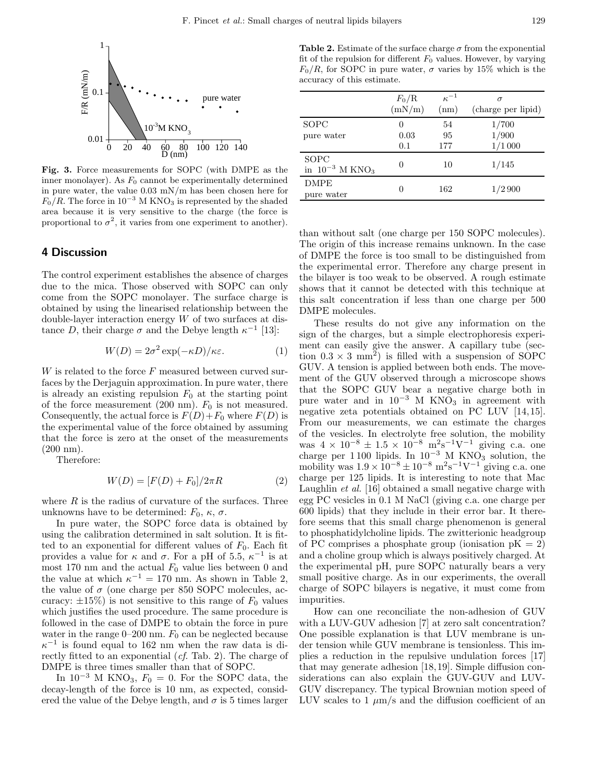

**Fig. 3.** Force measurements for SOPC (with DMPE as the inner monolayer). As  $F_0$  cannot be experimentally determined in pure water, the value 0.03 mN/m has been chosen here for  $F_0/R$ . The force in 10<sup>-3</sup> M KNO<sub>3</sub> is represented by the shaded area because it is very sensitive to the charge (the force is proportional to  $\sigma^2$ , it varies from one experiment to another).

#### **4 Discussion**

The control experiment establishes the absence of charges due to the mica. Those observed with SOPC can only come from the SOPC monolayer. The surface charge is obtained by using the linearised relationship between the double-layer interaction energy W of two surfaces at distance D, their charge  $\sigma$  and the Debye length  $\kappa^{-1}$  [13]:

$$
W(D) = 2\sigma^2 \exp(-\kappa D) / \kappa \varepsilon.
$$
 (1)

W is related to the force  $F$  measured between curved surfaces by the Derjaguin approximation. In pure water, there is already an existing repulsion  $F_0$  at the starting point of the force measurement (200 nm).  $F_0$  is not measured. Consequently, the actual force is  $F(D)+F_0$  where  $F(D)$  is the experimental value of the force obtained by assuming that the force is zero at the onset of the measurements (200 nm).

Therefore:

$$
W(D) = [F(D) + F_0]/2\pi R
$$
 (2)

where  $R$  is the radius of curvature of the surfaces. Three unknowns have to be determined:  $F_0$ ,  $\kappa$ ,  $\sigma$ .

In pure water, the SOPC force data is obtained by using the calibration determined in salt solution. It is fitted to an exponential for different values of  $F_0$ . Each fit provides a value for  $\kappa$  and  $\sigma$ . For a pH of 5.5,  $\kappa^{-1}$  is at most 170 nm and the actual  $F_0$  value lies between 0 and the value at which  $\kappa^{-1} = 170$  nm. As shown in Table 2, the value of  $\sigma$  (one charge per 850 SOPC molecules, accuracy:  $\pm 15\%$ ) is not sensitive to this range of  $F_0$  values which justifies the used procedure. The same procedure is followed in the case of DMPE to obtain the force in pure water in the range  $0-200$  nm.  $F_0$  can be neglected because  $\kappa^{-1}$  is found equal to 162 nm when the raw data is directly fitted to an exponential (cf. Tab. 2). The charge of DMPE is three times smaller than that of SOPC.

In  $10^{-3}$  M KNO<sub>3</sub>,  $F_0 = 0$ . For the SOPC data, the decay-length of the force is 10 nm, as expected, considered the value of the Debye length, and  $\sigma$  is 5 times larger

**Table 2.** Estimate of the surface charge  $\sigma$  from the exponential fit of the repulsion for different  $F_0$  values. However, by varying  $F_0/R$ , for SOPC in pure water,  $\sigma$  varies by 15% which is the accuracy of this estimate.

|                                         | $F_0/R$<br>(mN/m) | $\kappa^{-1}$<br>(nm) | σ<br>(charge per lipid) |
|-----------------------------------------|-------------------|-----------------------|-------------------------|
| SOPC<br>pure water                      | $\theta$<br>0.03  | 54<br>95              | 1/700<br>1/900          |
|                                         | 0.1               | 177                   | 1/1000                  |
| SOPC<br>in $10^{-3}$ M KNO <sub>3</sub> | $\theta$          | 10                    | 1/145                   |
| <b>DMPE</b><br>pure water               | 0                 | 162                   | 1/2900                  |

than without salt (one charge per 150 SOPC molecules). The origin of this increase remains unknown. In the case of DMPE the force is too small to be distinguished from the experimental error. Therefore any charge present in the bilayer is too weak to be observed. A rough estimate shows that it cannot be detected with this technique at this salt concentration if less than one charge per 500 DMPE molecules.

These results do not give any information on the sign of the charges, but a simple electrophoresis experiment can easily give the answer. A capillary tube (section  $0.3 \times 3$  mm<sup>2</sup>) is filled with a suspension of SOPC GUV. A tension is applied between both ends. The movement of the GUV observed through a microscope shows that the SOPC GUV bear a negative charge both in pure water and in  $10^{-3}$  M KNO<sub>3</sub> in agreement with negative zeta potentials obtained on PC LUV [14,15]. From our measurements, we can estimate the charges of the vesicles. In electrolyte free solution, the mobility was  $4 \times 10^{-8} \pm 1.5 \times 10^{-8} \text{ m}^2 \text{s}^{-1} \text{V}^{-1}$  giving c.a. one charge per 1 100 lipids. In  $10^{-3}$  M KNO<sub>3</sub> solution, the mobility was  $1.9 \times 10^{-8} \pm 10^{-8}$  m<sup>2</sup>s<sup>-1</sup>V<sup>-1</sup> giving c.a. one charge per 125 lipids. It is interesting to note that Mac Laughlin et al. [16] obtained a small negative charge with egg PC vesicles in 0.1 M NaCl (giving c.a. one charge per 600 lipids) that they include in their error bar. It therefore seems that this small charge phenomenon is general to phosphatidylcholine lipids. The zwitterionic headgroup of PC comprises a phosphate group (ionisation  $pK = 2$ ) and a choline group which is always positively charged. At the experimental pH, pure SOPC naturally bears a very small positive charge. As in our experiments, the overall charge of SOPC bilayers is negative, it must come from impurities.

How can one reconciliate the non-adhesion of GUV with a LUV-GUV adhesion [7] at zero salt concentration? One possible explanation is that LUV membrane is under tension while GUV membrane is tensionless. This implies a reduction in the repulsive undulation forces [17] that may generate adhesion [18,19]. Simple diffusion considerations can also explain the GUV-GUV and LUV-GUV discrepancy. The typical Brownian motion speed of LUV scales to 1  $\mu$ m/s and the diffusion coefficient of an